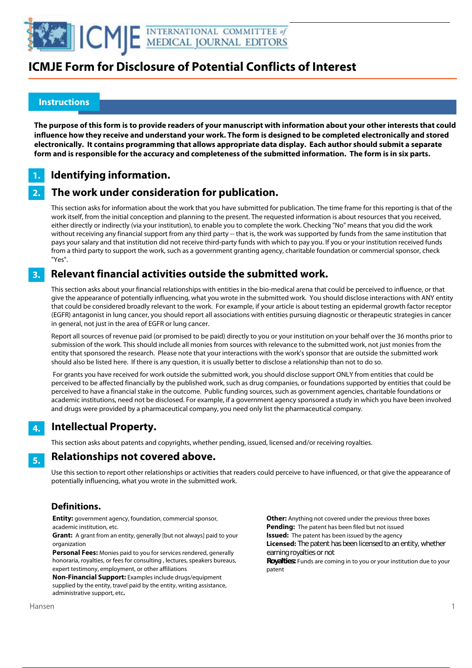

# **ICMJE Form for Disclosure of Potential Conflicts of Interest**

### **Instructions**

**The purpose of this form is to provide readers of your manuscript with information about your other interests that could influence how they receive and understand your work. The form is designed to be completed electronically and stored electronically. It contains programming that allows appropriate data display. Each author should submit a separate form and is responsible for the accuracy and completeness of the submitted information. The form is in six parts.** 

#### **Identifying information. 1.**

#### **The work under consideration for publication. 2.**

This section asks for information about the work that you have submitted for publication. The time frame for this reporting is that of the work itself, from the initial conception and planning to the present. The requested information is about resources that you received, either directly or indirectly (via your institution), to enable you to complete the work. Checking "No" means that you did the work without receiving any financial support from any third party -- that is, the work was supported by funds from the same institution that pays your salary and that institution did not receive third-party funds with which to pay you. If you or your institution received funds from a third party to support the work, such as a government granting agency, charitable foundation or commercial sponsor, check "Yes".

#### **Relevant financial activities outside the submitted work. 3.**

This section asks about your financial relationships with entities in the bio-medical arena that could be perceived to influence, or that give the appearance of potentially influencing, what you wrote in the submitted work. You should disclose interactions with ANY entity that could be considered broadly relevant to the work. For example, if your article is about testing an epidermal growth factor receptor (EGFR) antagonist in lung cancer, you should report all associations with entities pursuing diagnostic or therapeutic strategies in cancer in general, not just in the area of EGFR or lung cancer.

Report all sources of revenue paid (or promised to be paid) directly to you or your institution on your behalf over the 36 months prior to submission of the work. This should include all monies from sources with relevance to the submitted work, not just monies from the entity that sponsored the research. Please note that your interactions with the work's sponsor that are outside the submitted work should also be listed here. If there is any question, it is usually better to disclose a relationship than not to do so.

 For grants you have received for work outside the submitted work, you should disclose support ONLY from entities that could be perceived to be affected financially by the published work, such as drug companies, or foundations supported by entities that could be perceived to have a financial stake in the outcome. Public funding sources, such as government agencies, charitable foundations or academic institutions, need not be disclosed. For example, if a government agency sponsored a study in which you have been involved and drugs were provided by a pharmaceutical company, you need only list the pharmaceutical company.

### **Intellectual Property. 4.**

This section asks about patents and copyrights, whether pending, issued, licensed and/or receiving royalties.

#### **Relationships not covered above. 5.**

Use this section to report other relationships or activities that readers could perceive to have influenced, or that give the appearance of potentially influencing, what you wrote in the submitted work.

### **Definitions.**

**Entity:** government agency, foundation, commercial sponsor, academic institution, etc.

**Grant:** A grant from an entity, generally [but not always] paid to your organization

**Personal Fees:** Monies paid to you for services rendered, generally honoraria, royalties, or fees for consulting , lectures, speakers bureaus, expert testimony, employment, or other affiliations

**Non-Financial Support:** Examples include drugs/equipment supplied by the entity, travel paid by the entity, writing assistance, administrative support, etc**.**

**Other:** Anything not covered under the previous three boxes **Pending:** The patent has been filed but not issued **Issued:** The patent has been issued by the agency **Licensed:** The patent has been licensed to an entity, whether earning royalties or not **Royalties:** Funds are coming in to you or your institution due to your patent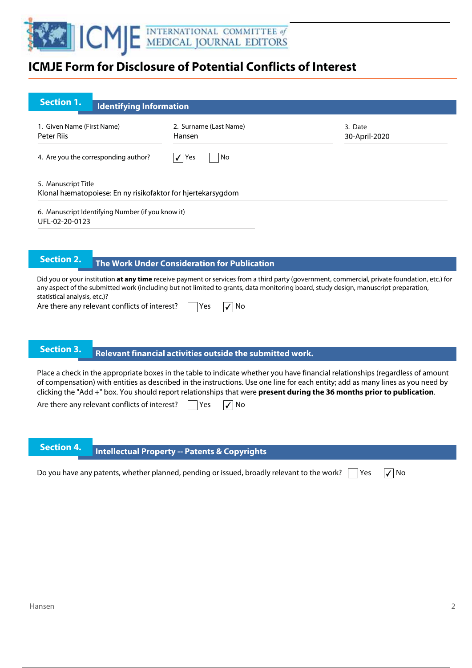

# **ICMJE Form for Disclosure of Potential Conflicts of Interest**

| <b>Section 1.</b><br><b>Identifying Information</b>                                |                                                                                                                                                                                                                                                                                                     |                          |
|------------------------------------------------------------------------------------|-----------------------------------------------------------------------------------------------------------------------------------------------------------------------------------------------------------------------------------------------------------------------------------------------------|--------------------------|
| 1. Given Name (First Name)<br><b>Peter Riis</b>                                    | 2. Surname (Last Name)<br>Hansen                                                                                                                                                                                                                                                                    | 3. Date<br>30-April-2020 |
| 4. Are you the corresponding author?                                               | Yes<br>No                                                                                                                                                                                                                                                                                           |                          |
| 5. Manuscript Title<br>Klonal hæmatopoiese: En ny risikofaktor for hjertekarsygdom |                                                                                                                                                                                                                                                                                                     |                          |
| 6. Manuscript Identifying Number (if you know it)<br>UFL-02-20-0123                |                                                                                                                                                                                                                                                                                                     |                          |
|                                                                                    |                                                                                                                                                                                                                                                                                                     |                          |
| <b>Section 2.</b>                                                                  | <b>The Work Under Consideration for Publication</b>                                                                                                                                                                                                                                                 |                          |
| statistical analysis, etc.)?<br>Are there any relevant conflicts of interest?      | Did you or your institution at any time receive payment or services from a third party (government, commercial, private foundation, etc.) for<br>any aspect of the submitted work (including but not limited to grants, data monitoring board, study design, manuscript preparation,<br>  No<br>Yes |                          |

## **Relevant financial activities outside the submitted work. Section 3. Relevant financial activities outside the submitted work.**

Place a check in the appropriate boxes in the table to indicate whether you have financial relationships (regardless of amount of compensation) with entities as described in the instructions. Use one line for each entity; add as many lines as you need by clicking the "Add +" box. You should report relationships that were **present during the 36 months prior to publication**.

Are there any relevant conflicts of interest?  $\Box$  Yes  $\Box$  No

# **Intellectual Property -- Patents & Copyrights**

| Do you have any patents, whether planned, pending or issued, broadly relevant to the work? $\Box$ Yes $\Box$ No |  |  |  |  |  |
|-----------------------------------------------------------------------------------------------------------------|--|--|--|--|--|
|-----------------------------------------------------------------------------------------------------------------|--|--|--|--|--|